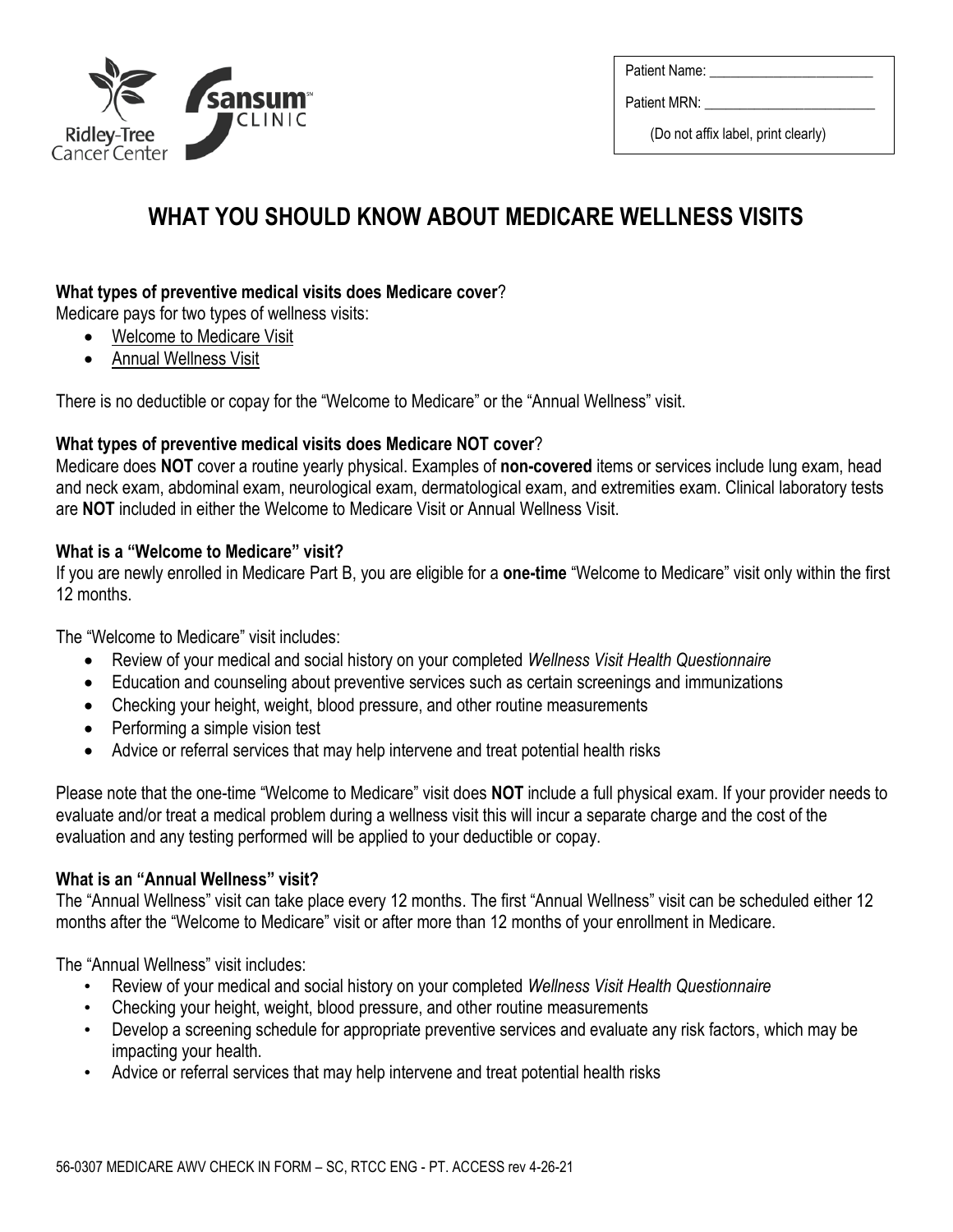

Patient Name:

Patient MRN:

(Do not affix label, print clearly)

# **WHAT YOU SHOULD KNOW ABOUT MEDICARE WELLNESS VISITS**

## **What types of preventive medical visits does Medicare cover**?

Medicare pays for two types of wellness visits:

- Welcome to Medicare Visit
- Annual Wellness Visit

There is no deductible or copay for the "Welcome to Medicare" or the "Annual Wellness" visit.

### **What types of preventive medical visits does Medicare NOT cover**?

Medicare does **NOT** cover a routine yearly physical. Examples of **non-covered** items or services include lung exam, head and neck exam, abdominal exam, neurological exam, dermatological exam, and extremities exam. Clinical laboratory tests are **NOT** included in either the Welcome to Medicare Visit or Annual Wellness Visit.

## **What is a "Welcome to Medicare" visit?**

If you are newly enrolled in Medicare Part B, you are eligible for a **one-time** "Welcome to Medicare" visit only within the first 12 months.

The "Welcome to Medicare" visit includes:

- Review of your medical and social history on your completed *Wellness Visit Health Questionnaire*
- Education and counseling about preventive services such as certain screenings and immunizations
- Checking your height, weight, blood pressure, and other routine measurements
- Performing a simple vision test
- Advice or referral services that may help intervene and treat potential health risks

Please note that the one-time "Welcome to Medicare" visit does **NOT** include a full physical exam. If your provider needs to evaluate and/or treat a medical problem during a wellness visit this will incur a separate charge and the cost of the evaluation and any testing performed will be applied to your deductible or copay.

## **What is an "Annual Wellness" visit?**

The "Annual Wellness" visit can take place every 12 months. The first "Annual Wellness" visit can be scheduled either 12 months after the "Welcome to Medicare" visit or after more than 12 months of your enrollment in Medicare.

The "Annual Wellness" visit includes:

- Review of your medical and social history on your completed *Wellness Visit Health Questionnaire*
- Checking your height, weight, blood pressure, and other routine measurements
- Develop a screening schedule for appropriate preventive services and evaluate any risk factors, which may be impacting your health.
- Advice or referral services that may help intervene and treat potential health risks